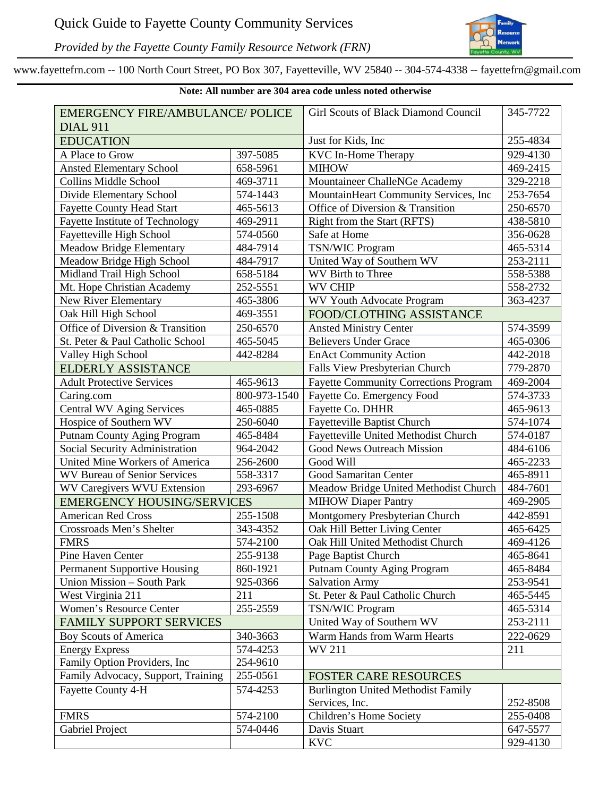

*Provided by the Fayette County Family Resource Network (FRN)*

www.fayettefrn.com -- 100 North Court Street, PO Box 307, Fayetteville, WV 25840 -- 304-574-4338 -- fayettefrn@gmail.com

| Note: All number are 304 area code unless noted otherwise |              |                                              |          |  |  |
|-----------------------------------------------------------|--------------|----------------------------------------------|----------|--|--|
| <b>EMERGENCY FIRE/AMBULANCE/ POLICE</b>                   |              | Girl Scouts of Black Diamond Council         | 345-7722 |  |  |
| <b>DIAL 911</b>                                           |              |                                              |          |  |  |
| <b>EDUCATION</b>                                          |              | Just for Kids, Inc.                          | 255-4834 |  |  |
| A Place to Grow                                           | 397-5085     | <b>KVC</b> In-Home Therapy                   | 929-4130 |  |  |
| <b>Ansted Elementary School</b>                           | 658-5961     | <b>MIHOW</b>                                 | 469-2415 |  |  |
| <b>Collins Middle School</b>                              | 469-3711     | Mountaineer ChalleNGe Academy                | 329-2218 |  |  |
| Divide Elementary School                                  | 574-1443     | MountainHeart Community Services, Inc        | 253-7654 |  |  |
| <b>Fayette County Head Start</b>                          | 465-5613     | Office of Diversion & Transition             | 250-6570 |  |  |
| Fayette Institute of Technology                           | 469-2911     | Right from the Start (RFTS)                  | 438-5810 |  |  |
| Fayetteville High School                                  | 574-0560     | Safe at Home                                 | 356-0628 |  |  |
| <b>Meadow Bridge Elementary</b>                           | 484-7914     | <b>TSN/WIC Program</b>                       | 465-5314 |  |  |
| Meadow Bridge High School                                 | 484-7917     | United Way of Southern WV                    | 253-2111 |  |  |
| Midland Trail High School                                 | 658-5184     | WV Birth to Three                            | 558-5388 |  |  |
| Mt. Hope Christian Academy                                | 252-5551     | <b>WV CHIP</b>                               | 558-2732 |  |  |
| New River Elementary                                      | 465-3806     | <b>WV Youth Advocate Program</b>             | 363-4237 |  |  |
| Oak Hill High School                                      | 469-3551     | FOOD/CLOTHING ASSISTANCE                     |          |  |  |
| Office of Diversion & Transition                          | 250-6570     | <b>Ansted Ministry Center</b>                | 574-3599 |  |  |
| St. Peter & Paul Catholic School                          | 465-5045     | <b>Believers Under Grace</b>                 | 465-0306 |  |  |
| Valley High School                                        | 442-8284     | <b>EnAct Community Action</b>                | 442-2018 |  |  |
| <b>ELDERLY ASSISTANCE</b>                                 |              | Falls View Presbyterian Church               | 779-2870 |  |  |
| <b>Adult Protective Services</b>                          | 465-9613     | <b>Fayette Community Corrections Program</b> | 469-2004 |  |  |
| Caring.com                                                | 800-973-1540 | Fayette Co. Emergency Food                   | 574-3733 |  |  |
| <b>Central WV Aging Services</b>                          | 465-0885     | Fayette Co. DHHR                             | 465-9613 |  |  |
| Hospice of Southern WV                                    | 250-6040     | Fayetteville Baptist Church                  | 574-1074 |  |  |
| <b>Putnam County Aging Program</b>                        | 465-8484     | Fayetteville United Methodist Church         | 574-0187 |  |  |
| Social Security Administration                            | 964-2042     | Good News Outreach Mission                   | 484-6106 |  |  |
| United Mine Workers of America                            | 256-2600     | Good Will                                    | 465-2233 |  |  |
| <b>WV Bureau of Senior Services</b>                       | 558-3317     | Good Samaritan Center                        | 465-8911 |  |  |
| <b>WV Caregivers WVU Extension</b>                        | 293-6967     | Meadow Bridge United Methodist Church        | 484-7601 |  |  |
| <b>EMERGENCY HOUSING/SERVICES</b>                         |              | <b>MIHOW Diaper Pantry</b>                   | 469-2905 |  |  |
| <b>American Red Cross</b>                                 | 255-1508     | Montgomery Presbyterian Church               | 442-8591 |  |  |
| Crossroads Men's Shelter                                  | 343-4352     | Oak Hill Better Living Center                | 465-6425 |  |  |
| <b>FMRS</b>                                               | 574-2100     | Oak Hill United Methodist Church             | 469-4126 |  |  |
| Pine Haven Center                                         | 255-9138     | Page Baptist Church                          | 465-8641 |  |  |
| <b>Permanent Supportive Housing</b>                       | 860-1921     | <b>Putnam County Aging Program</b>           | 465-8484 |  |  |
| Union Mission - South Park                                | 925-0366     | <b>Salvation Army</b>                        | 253-9541 |  |  |
| West Virginia 211                                         | 211          | St. Peter & Paul Catholic Church             | 465-5445 |  |  |
| Women's Resource Center                                   | 255-2559     | <b>TSN/WIC Program</b>                       | 465-5314 |  |  |
| <b>FAMILY SUPPORT SERVICES</b>                            |              | United Way of Southern WV                    | 253-2111 |  |  |
| <b>Boy Scouts of America</b>                              | 340-3663     | Warm Hands from Warm Hearts                  | 222-0629 |  |  |
| <b>Energy Express</b>                                     | 574-4253     | <b>WV 211</b>                                | 211      |  |  |
| Family Option Providers, Inc                              | 254-9610     |                                              |          |  |  |
| Family Advocacy, Support, Training                        | 255-0561     | <b>FOSTER CARE RESOURCES</b>                 |          |  |  |
| Fayette County 4-H                                        | 574-4253     | <b>Burlington United Methodist Family</b>    |          |  |  |
|                                                           |              | Services, Inc.                               | 252-8508 |  |  |
| <b>FMRS</b>                                               | 574-2100     | Children's Home Society                      | 255-0408 |  |  |
| <b>Gabriel Project</b>                                    | 574-0446     | Davis Stuart                                 | 647-5577 |  |  |
|                                                           |              | <b>KVC</b>                                   | 929-4130 |  |  |